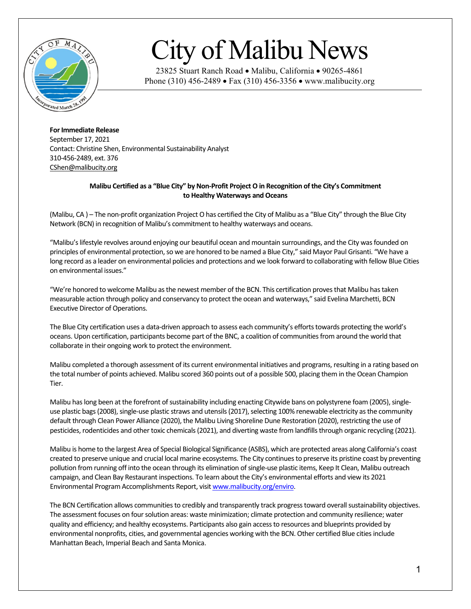

## City of Malibu News

23825 Stuart Ranch Road • Malibu, California • 90265-4861 Phone (310) 456-2489 • Fax (310) 456-3356 • www.malibucity.org

## **For Immediate Release**

September 17, 2021 Contact: Christine Shen, Environmental Sustainability Analyst 310-456-2489, ext. 376 [CShen@malibucity.org](mailto:mmyerhoff@malibucity.org)

## **Malibu Certified as a "Blue City" by Non-Profit Project O in Recognition of the City's Commitment to Healthy Waterways and Oceans**

(Malibu, CA ) – The non-profit organization Project O has certified the City of Malibu as a "Blue City" through the Blue City Network (BCN) in recognition of Malibu's commitment to healthy waterways and oceans.

"Malibu's lifestyle revolves around enjoying our beautiful ocean and mountain surroundings, and the City was founded on principles of environmental protection, so we are honored to be named a Blue City," said Mayor Paul Grisanti. "We have a long record as a leader on environmental policies and protections and we look forward to collaborating with fellow Blue Cities on environmental issues."

"We're honored to welcome Malibu as the newest member of the BCN. This certification proves that Malibu has taken measurable action through policy and conservancy to protect the ocean and waterways," said Evelina Marchetti, BCN Executive Director of Operations.

The Blue City certification uses a data-driven approach to assess each community's efforts towards protecting the world's oceans. Upon certification, participants become part of the BNC, a coalition of communities from around the world that collaborate in their ongoing work to protect the environment.

Malibu completed a thorough assessment of its current environmental initiatives and programs, resulting in a rating based on the total number of points achieved. Malibu scored 360 points out of a possible 500, placing them in the Ocean Champion Tier.

Malibu has long been at the forefront of sustainability including enacting Citywide bans on polystyrene foam (2005), singleuse plastic bags(2008), single-use plastic straws and utensils (2017), selecting 100% renewable electricity as the community default through Clean Power Alliance (2020), the Malibu Living Shoreline Dune Restoration (2020), restricting the use of pesticides, rodenticides and other toxic chemicals (2021), and diverting waste from landfills through organic recycling (2021).

Malibu is home to the largest Area of Special Biological Significance (ASBS), which are protected areas along California's coast created to preserve unique and crucial local marine ecosystems. The City continues to preserve its pristine coast by preventing pollution from running off into the ocean through its elimination of single-use plastic items, Keep It Clean, Malibu outreach campaign, and Clean Bay Restaurant inspections. To learn about the City's environmental efforts and view its 2021 Environmental Program Accomplishments Report, visi[t www.malibucity.org/enviro.](http://www.malibucity.org/enviro)

The BCN Certification allows communities to credibly and transparently track progress toward overall sustainability objectives. The assessment focuses on four solution areas: waste minimization; climate protection and community resilience; water quality and efficiency; and healthy ecosystems. Participants also gain access to resources and blueprints provided by environmental nonprofits, cities, and governmental agencies working with the BCN. Other certified Blue cities include Manhattan Beach, Imperial Beach and Santa Monica.